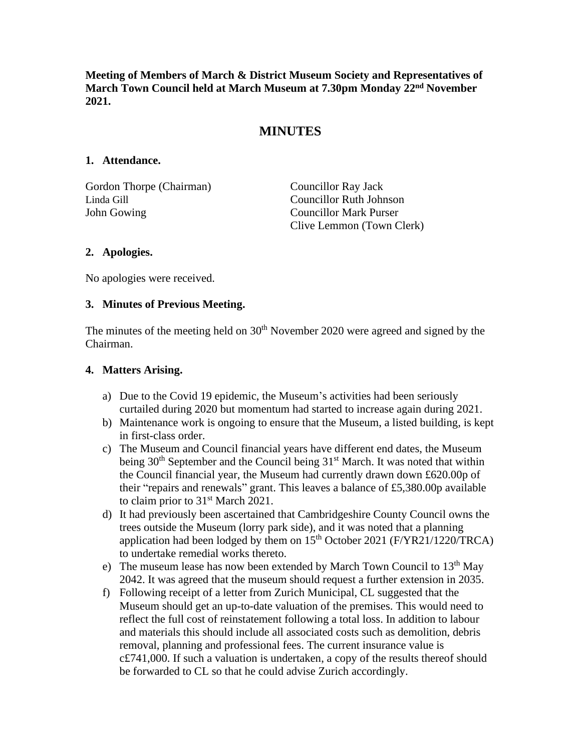**Meeting of Members of March & District Museum Society and Representatives of March Town Council held at March Museum at 7.30pm Monday 22nd November 2021.**

# **MINUTES**

### **1. Attendance.**

Gordon Thorpe (Chairman) Councillor Ray Jack Linda Gill Councillor Ruth Johnson John Gowing Councillor Mark Purser

Clive Lemmon (Town Clerk)

### **2. Apologies.**

No apologies were received.

### **3. Minutes of Previous Meeting.**

The minutes of the meeting held on  $30<sup>th</sup>$  November 2020 were agreed and signed by the Chairman.

#### **4. Matters Arising.**

- a) Due to the Covid 19 epidemic, the Museum's activities had been seriously curtailed during 2020 but momentum had started to increase again during 2021.
- b) Maintenance work is ongoing to ensure that the Museum, a listed building, is kept in first-class order.
- c) The Museum and Council financial years have different end dates, the Museum being  $30<sup>th</sup>$  September and the Council being  $31<sup>st</sup>$  March. It was noted that within the Council financial year, the Museum had currently drawn down £620.00p of their "repairs and renewals" grant. This leaves a balance of £5,380.00p available to claim prior to 31<sup>st</sup> March 2021.
- d) It had previously been ascertained that Cambridgeshire County Council owns the trees outside the Museum (lorry park side), and it was noted that a planning application had been lodged by them on  $15<sup>th</sup>$  October 2021 (F/YR21/1220/TRCA) to undertake remedial works thereto.
- e) The museum lease has now been extended by March Town Council to  $13<sup>th</sup>$  May 2042. It was agreed that the museum should request a further extension in 2035.
- f) Following receipt of a letter from Zurich Municipal, CL suggested that the Museum should get an up-to-date valuation of the premises. This would need to reflect the full cost of reinstatement following a total loss. In addition to labour and materials this should include all associated costs such as demolition, debris removal, planning and professional fees. The current insurance value is c£741,000. If such a valuation is undertaken, a copy of the results thereof should be forwarded to CL so that he could advise Zurich accordingly.